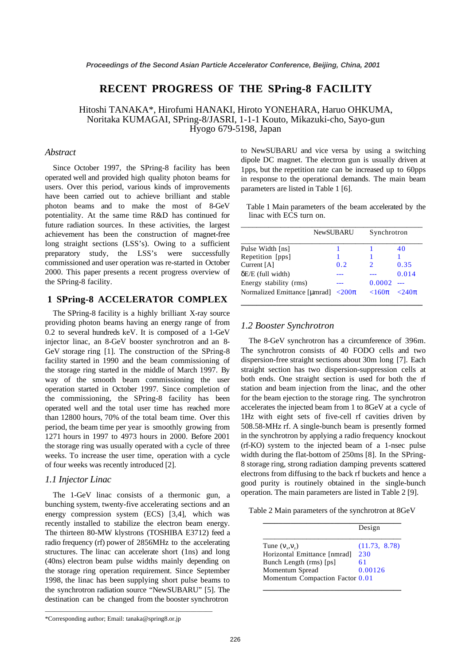# **RECENT PROGRESS OF THE SPring-8 FACILITY**

Hitoshi TANAKA\*, Hirofumi HANAKI, Hiroto YONEHARA, Haruo OHKUMA, Noritaka KUMAGAI, SPring-8/JASRI, 1-1-1 Kouto, Mikazuki-cho, Sayo-gun Hyogo 679-5198, Japan

#### *Abstract*

Since October 1997, the SPring-8 facility has been operated well and provided high quality photon beams for users. Over this period, various kinds of improvements have been carried out to achieve brilliant and stable photon beams and to make the most of 8-GeV potentiality. At the same time R&D has continued for future radiation sources. In these activities, the largest achievement has been the construction of magnet-free long straight sections (LSS's). Owing to a sufficient preparatory study, the LSS's were successfully commissioned and user operation was re-started in October 2000. This paper presents a recent progress overview of the SPring-8 facility.

### **1 SPring-8 ACCELERATOR COMPLEX**

The SPring-8 facility is a highly brilliant X-ray source providing photon beams having an energy range of from 0.2 to several hundreds keV. It is composed of a 1-GeV injector linac, an 8-GeV booster synchrotron and an 8- GeV storage ring [1]. The construction of the SPring-8 facility started in 1990 and the beam commissioning of the storage ring started in the middle of March 1997. By way of the smooth beam commissioning the user operation started in October 1997. Since completion of the commissioning, the SPring-8 facility has been operated well and the total user time has reached more than 12800 hours, 70% of the total beam time. Over this period, the beam time per year is smoothly growing from 1271 hours in 1997 to 4973 hours in 2000. Before 2001 the storage ring was usually operated with a cycle of three weeks. To increase the user time, operation with a cycle of four weeks was recently introduced [2].

#### *1.1 Injector Linac*

The 1-GeV linac consists of a thermonic gun, a bunching system, twenty-five accelerating sections and an energy compression system (ECS) [3,4], which was recently installed to stabilize the electron beam energy. The thirteen 80-MW klystrons (TOSHIBA E3712) feed a radio frequency (rf) power of 2856MHz to the accelerating structures. The linac can accelerate short (1ns) and long (40ns) electron beam pulse widths mainly depending on the storage ring operation requirement. Since September 1998, the linac has been supplying short pulse beams to the synchrotron radiation source "NewSUBARU" [5]. The destination can be changed from the booster synchrotron

to NewSUBARU and vice versa by using a switching dipole DC magnet. The electron gun is usually driven at 1pps, but the repetition rate can be increased up to 60pps in response to the operational demands. The main beam parameters are listed in Table 1 [6].

Table 1 Main parameters of the beam accelerated by the linac with ECS turn on.

|                              | <b>NewSUBARU</b> | Synchrotron |                      |
|------------------------------|------------------|-------------|----------------------|
| Pulse Width [ns]             |                  |             | 40                   |
| Repetition [pps]             |                  |             |                      |
| Current [A]                  | 0.2              |             | 0.35                 |
| $\delta E/E$ (full width)    |                  |             | 0.014                |
| Energy stability (rms)       |                  | 0.0002      |                      |
| Normalized Emittance [µmrad] | $\langle 200\pi$ | $< 160\pi$  | $\epsilon$ 240 $\pi$ |

#### *1.2 Booster Synchrotron*

The 8-GeV synchrotron has a circumference of 396m. The synchrotron consists of 40 FODO cells and two dispersion-free straight sections about 30m long [7]. Each straight section has two dispersion-suppression cells at both ends. One straight section is used for both the rf station and beam injection from the linac, and the other for the beam ejection to the storage ring. The synchrotron accelerates the injected beam from 1 to 8GeV at a cycle of 1Hz with eight sets of five-cell rf cavities driven by 508.58-MHz rf. A single-bunch beam is presently formed in the synchrotron by applying a radio frequency knockout (rf-KO) system to the injected beam of a 1-nsec pulse width during the flat-bottom of 250ms [8]. In the SPring-8 storage ring, strong radiation damping prevents scattered electrons from diffusing to the back rf buckets and hence a good purity is routinely obtained in the single-bunch operation. The main parameters are listed in Table 2 [9].

Table 2 Main parameters of the synchrotron at 8GeV

|                                   | Design        |
|-----------------------------------|---------------|
| Tune $(V_x, V_y)$                 | (11.73, 8.78) |
| Horizontal Emittance [nmrad]      | 230           |
| Bunch Length (rms) [ps]           | 61            |
| Momentum Spread                   | 0.00126       |
| Momentum Compaction Factor $0.01$ |               |

\_\_\_\_\_\_\_\_\_\_\_\_\_\_\_\_\_\_\_\_\_\_\_\_\_\_\_\_\_\_\_\_\_\_\_\_\_\_\_\_\_\_\_\_\_\_\_\_\_\_\_\_\_

<sup>\*</sup>Corresponding author; Email: tanaka@spring8.or.jp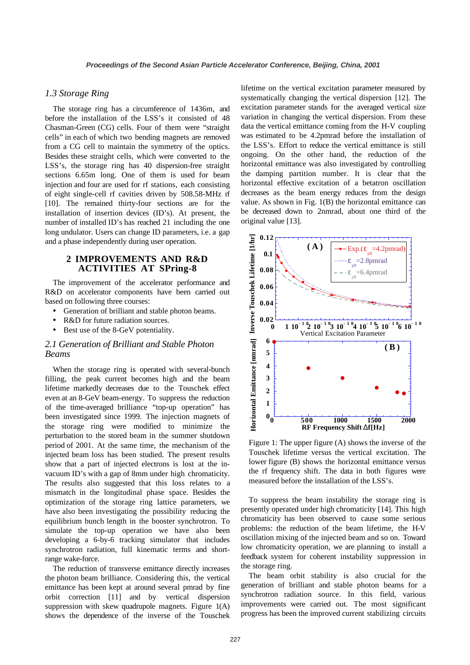#### *1.3 Storage Ring*

The storage ring has a circumference of 1436m, and before the installation of the LSS's it consisted of 48 Chasman-Green (CG) cells. Four of them were "straight cells" in each of which two bending magnets are removed from a CG cell to maintain the symmetry of the optics. Besides these straight cells, which were converted to the LSS's, the storage ring has 40 dispersion-free straight sections 6.65m long. One of them is used for beam injection and four are used for rf stations, each consisting of eight single-cell rf cavities driven by 508.58-MHz rf [10]. The remained thirty-four sections are for the installation of insertion devices (ID's). At present, the number of installed ID's has reached 21 including the one long undulator. Users can change ID parameters, i.e. a gap and a phase independently during user operation.

# **2 IMPROVEMENTS AND R&D ACTIVITIES AT SPring-8**

The improvement of the accelerator performance and R&D on accelerator components have been carried out based on following three courses:

- Generation of brilliant and stable photon beams.
- R&D for future radiation sources.
- Best use of the 8-GeV potentiality.

# *2.1 Generation of Brilliant and Stable Photon Beams*

When the storage ring is operated with several-bunch filling, the peak current becomes high and the beam lifetime markedly decreases due to the Touschek effect even at an 8-GeV beam-energy. To suppress the reduction of the time-averaged brilliance "top-up operation" has been investigated since 1999. The injection magnets of the storage ring were modified to minimize the perturbation to the stored beam in the summer shutdown period of 2001. At the same time, the mechanism of the injected beam loss has been studied. The present results show that a part of injected electrons is lost at the invacuum ID's with a gap of 8mm under high chromaticity. The results also suggested that this loss relates to a mismatch in the longitudinal phase space. Besides the optimization of the storage ring lattice parameters, we have also been investigating the possibility reducing the equilibrium bunch length in the booster synchrotron. To simulate the top-up operation we have also been developing a 6-by-6 tracking simulator that includes synchrotron radiation, full kinematic terms and shortrange wake-force.

The reduction of transverse emittance directly increases the photon beam brilliance. Considering this, the vertical emittance has been kept at around several pmrad by fine orbit correction [11] and by vertical dispersion suppression with skew quadrupole magnets. Figure 1(A) shows the dependence of the inverse of the Touschek

lifetime on the vertical excitation parameter measured by systematically changing the vertical dispersion [12]. The excitation parameter stands for the averaged vertical size variation in changing the vertical dispersion. From these data the vertical emittance coming from the H-V coupling was estimated to be 4.2pmrad before the installation of the LSS's. Effort to reduce the vertical emittance is still ongoing. On the other hand, the reduction of the horizontal emittance was also investigated by controlling the damping partition number. It is clear that the horizontal effective excitation of a betatron oscillation decreases as the beam energy reduces from the design value. As shown in Fig. 1(B) the horizontal emittance can be decreased down to 2nmrad, about one third of the original value [13].



Figure 1: The upper figure (A) shows the inverse of the Touschek lifetime versus the vertical excitation. The lower figure (B) shows the horizontal emittance versus the rf frequency shift. The data in both figures were measured before the installation of the LSS's.

To suppress the beam instability the storage ring is presently operated under high chromaticity [14]. This high chromaticity has been observed to cause some serious problems: the reduction of the beam lifetime, the H-V oscillation mixing of the injected beam and so on. Toward low chromaticity operation, we are planning to install a feedback system for coherent instability suppression in the storage ring.

The beam orbit stability is also crucial for the generation of brilliant and stable photon beams for a synchrotron radiation source. In this field, various improvements were carried out. The most significant progress has been the improved current stabilizing circuits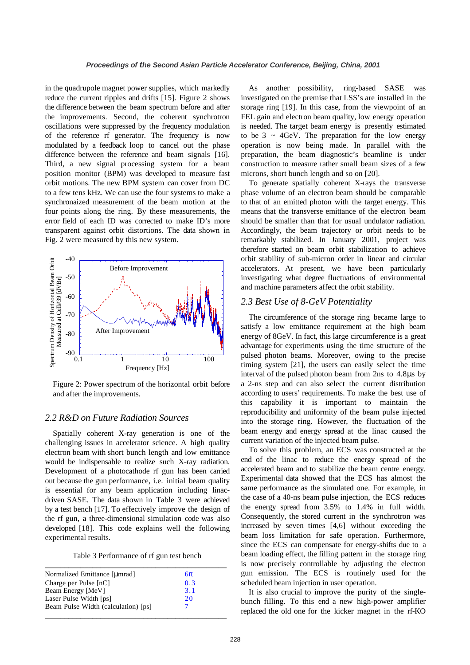in the quadrupole magnet power supplies, which markedly reduce the current ripples and drifts [15]. Figure 2 shows the difference between the beam spectrum before and after the improvements. Second, the coherent synchrotron oscillations were suppressed by the frequency modulation of the reference rf generator. The frequency is now modulated by a feedback loop to cancel out the phase difference between the reference and beam signals [16]. Third, a new signal processing system for a beam position monitor (BPM) was developed to measure fast orbit motions. The new BPM system can cover from DC to a few tens kHz. We can use the four systems to make a synchronaized measurement of the beam motion at the four points along the ring. By these measurements, the error field of each ID was corrected to make ID's more transparent against orbit distortions. The data shown in Fig. 2 were measured by this new system.



Figure 2: Power spectrum of the horizontal orbit before and after the improvements.

# *2.2 R&D on Future Radiation Sources*

Spatially coherent X-ray generation is one of the challenging issues in accelerator science. A high quality electron beam with short bunch length and low emittance would be indispensable to realize such X-ray radiation. Development of a photocathode rf gun has been carried out because the gun performance, i.e. initial beam quality is essential for any beam application including linacdriven SASE. The data shown in Table 3 were achieved by a test bench [17]. To effectively improve the design of the rf gun, a three-dimensional simulation code was also developed [18]. This code explains well the following experimental results.

Table 3 Performance of rf gun test bench

| Normalized Emittance [µmrad]        | $6\pi$ |  |
|-------------------------------------|--------|--|
| Charge per Pulse [nC]               | 0.3    |  |
| Beam Energy [MeV]                   | 3.1    |  |
| Laser Pulse Width [ps]              | 20     |  |
| Beam Pulse Width (calculation) [ps] |        |  |

As another possibility, ring-based SASE was investigated on the premise that LSS's are installed in the storage ring [19]. In this case, from the viewpoint of an FEL gain and electron beam quality, low energy operation is needed. The target beam energy is presently estimated to be  $3 \sim 4$ GeV. The preparation for the low energy operation is now being made. In parallel with the preparation, the beam diagnostic's beamline is under construction to measure rather small beam sizes of a few microns, short bunch length and so on [20].

To generate spatially coherent X-rays the transverse phase volume of an electron beam should be comparable to that of an emitted photon with the target energy. This means that the transverse emittance of the electron beam should be smaller than that for usual undulator radiation. Accordingly, the beam trajectory or orbit needs to be remarkably stabilized. In January 2001, project was therefore started on beam orbit stabilization to achieve orbit stability of sub-micron order in linear and circular accelerators. At present, we have been particularly investigating what degree fluctuations of environmental and machine parameters affect the orbit stability.

### *2.3 Best Use of 8-GeV Potentiality*

The circumference of the storage ring became large to satisfy a low emittance requirement at the high beam energy of 8GeV. In fact, this large circumference is a great advantage for experiments using the time structure of the pulsed photon beams. Moreover, owing to the precise timing system [21], the users can easily select the time interval of the pulsed photon beam from 2ns to 4.8µs by a 2-ns step and can also select the current distribution according to users' requirements. To make the best use of this capability it is important to maintain the reproducibility and uniformity of the beam pulse injected into the storage ring. However, the fluctuation of the beam energy and energy spread at the linac caused the current variation of the injected beam pulse.

To solve this problem, an ECS was constructed at the end of the linac to reduce the energy spread of the accelerated beam and to stabilize the beam centre energy. Experimental data showed that the ECS has almost the same performance as the simulated one. For example, in the case of a 40-ns beam pulse injection, the ECS reduces the energy spread from 3.5% to 1.4% in full width. Consequently, the stored current in the synchrotron was increased by seven times [4,6] without exceeding the beam loss limitation for safe operation. Furthermore, since the ECS can compensate for energy-shifts due to a beam loading effect, the filling pattern in the storage ring is now precisely controllable by adjusting the electron gun emission. The ECS is routinely used for the scheduled beam injection in user operation.

It is also crucial to improve the purity of the singlebunch filling. To this end a new high-power amplifier replaced the old one for the kicker magnet in the rf-KO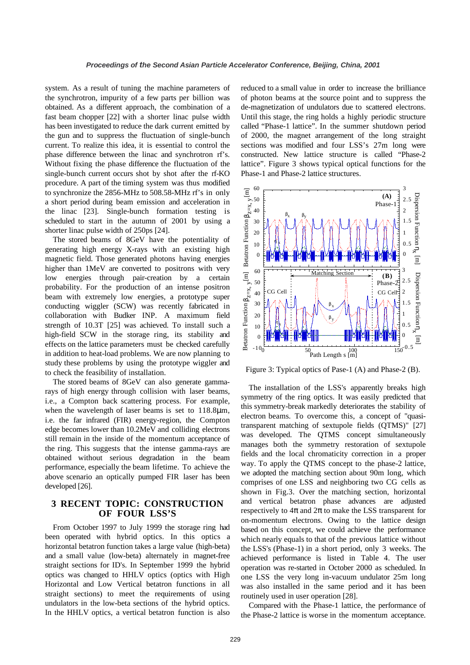system. As a result of tuning the machine parameters of the synchrotron, impurity of a few parts per billion was obtained. As a different approach, the combination of a fast beam chopper [22] with a shorter linac pulse width has been investigated to reduce the dark current emitted by the gun and to suppress the fluctuation of single-bunch current. To realize this idea, it is essential to control the phase difference between the linac and synchrotron rf's. Without fixing the phase difference the fluctuation of the single-bunch current occurs shot by shot after the rf-KO procedure. A part of the timing system was thus modified to synchronize the 2856-MHz to 508.58-MHz rf's in only a short period during beam emission and acceleration in the linac [23]. Single-bunch formation testing is scheduled to start in the autumn of 2001 by using a shorter linac pulse width of 250ps [24].

The stored beams of 8GeV have the potentiality of generating high energy X-rays with an existing high magnetic field. Those generated photons having energies higher than 1MeV are converted to positrons with very low energies through pair-creation by a certain probability. For the production of an intense positron beam with extremely low energies, a prototype super conducting wiggler (SCW) was recently fabricated in collaboration with Budker INP. A maximum field strength of 10.3T [25] was achieved. To install such a high-field SCW in the storage ring, its stability and effects on the lattice parameters must be checked carefully in addition to heat-load problems. We are now planning to study these problems by using the prototype wiggler and to check the feasibility of installation.

The stored beams of 8GeV can also generate gammarays of high energy through collision with laser beams, i.e., a Compton back scattering process. For example, when the wavelength of laser beams is set to 118.8 $\mu$ m, i.e. the far infrared (FIR) energy-region, the Compton edge becomes lower than 10.2MeV and colliding electrons still remain in the inside of the momentum acceptance of the ring. This suggests that the intense gamma-rays are obtained without serious degradation in the beam performance, especially the beam lifetime. To achieve the above scenario an optically pumped FIR laser has been developed [26].

# **3 RECENT TOPIC: CONSTRUCTION OF FOUR LSS'S**

From October 1997 to July 1999 the storage ring had been operated with hybrid optics. In this optics a horizontal betatron function takes a large value (high-beta) and a small value (low-beta) alternately in magnet-free straight sections for ID's. In September 1999 the hybrid optics was changed to HHLV optics (optics with High Horizontal and Low Vertical betatron functions in all straight sections) to meet the requirements of using undulators in the low-beta sections of the hybrid optics. In the HHLV optics, a vertical betatron function is also reduced to a small value in order to increase the brilliance of photon beams at the source point and to suppress the de-magnetization of undulators due to scattered electrons. Until this stage, the ring holds a highly periodic structure called "Phase-1 lattice". In the summer shutdown period of 2000, the magnet arrangement of the long straight sections was modified and four LSS's 27m long were constructed. New lattice structure is called "Phase-2 lattice". Figure 3 shows typical optical functions for the Phase-1 and Phase-2 lattice structures.



Figure 3: Typical optics of Pase-1 (A) and Phase-2 (B).

The installation of the LSS's apparently breaks high symmetry of the ring optics. It was easily predicted that this symmetry-break markedly deteriorates the stability of electron beams. To overcome this, a concept of "quasitransparent matching of sextupole fields (QTMS)" [27] was developed. The QTMS concept simultaneously manages both the symmetry restoration of sextupole fields and the local chromaticity correction in a proper way. To apply the QTMS concept to the phase-2 lattice, we adopted the matching section about 90m long, which comprises of one LSS and neighboring two CG cells as shown in Fig.3. Over the matching section, horizontal and vertical betatron phase advances are adjusted respectively to  $4\pi$  and  $2\pi$  to make the LSS transparent for on-momentum electrons. Owing to the lattice design based on this concept, we could achieve the performance which nearly equals to that of the previous lattice without the LSS's (Phase-1) in a short period, only 3 weeks. The achieved performance is listed in Table 4. The user operation was re-started in October 2000 as scheduled. In one LSS the very long in-vacuum undulator 25m long was also installed in the same period and it has been routinely used in user operation [28].

Compared with the Phase-1 lattice, the performance of the Phase-2 lattice is worse in the momentum acceptance.